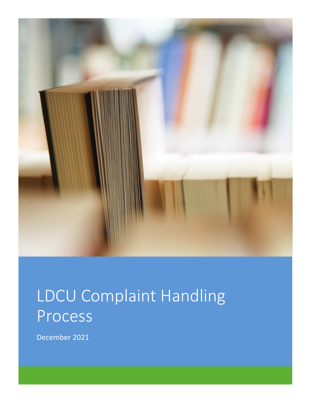

# LDCU Complaint Handling Process

December 2021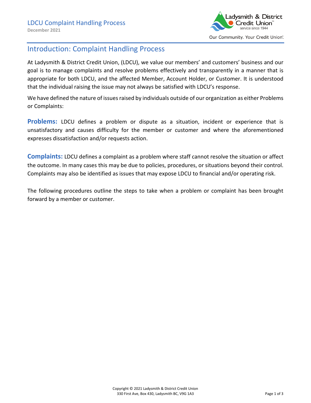

## Introduction: Complaint Handling Process

At Ladysmith & District Credit Union, (LDCU), we value our members' and customers' business and our goal is to manage complaints and resolve problems effectively and transparently in a manner that is appropriate for both LDCU, and the affected Member, Account Holder, or Customer. It is understood that the individual raising the issue may not always be satisfied with LDCU's response.

We have defined the nature of issues raised by individuals outside of our organization as either Problems or Complaints:

**Problems:** LDCU defines a problem or dispute as a situation, incident or experience that is unsatisfactory and causes difficulty for the member or customer and where the aforementioned expresses dissatisfaction and/or requests action.

**Complaints:** LDCU defines a complaint as a problem where staff cannot resolve the situation or affect the outcome. In many cases this may be due to policies, procedures, or situations beyond their control. Complaints may also be identified as issues that may expose LDCU to financial and/or operating risk.

The following procedures outline the steps to take when a problem or complaint has been brought forward by a member or customer.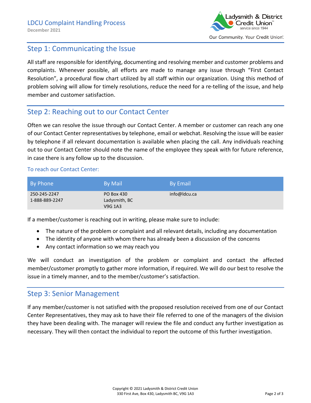

## Step 1: Communicating the Issue

All staff are responsible for identifying, documenting and resolving member and customer problems and complaints. Whenever possible, all efforts are made to manage any issue through "First Contact Resolution", a procedural flow chart utilized by all staff within our organization. Using this method of problem solving will allow for timely resolutions, reduce the need for a re-telling of the issue, and help member and customer satisfaction.

## Step 2: Reaching out to our Contact Center

Often we can resolve the issue through our Contact Center. A member or customer can reach any one of our Contact Center representatives by telephone, email or webchat. Resolving the issue will be easier by telephone if all relevant documentation is available when placing the call. Any individuals reaching out to our Contact Center should note the name of the employee they speak with for future reference, in case there is any follow up to the discussion.

#### To reach our Contact Center:

| By Phone                       | <b>By Mail</b>                                | <b>By Email</b> |
|--------------------------------|-----------------------------------------------|-----------------|
| 250-245-2247<br>1-888-889-2247 | <b>PO Box 430</b><br>Ladysmith, BC<br>V9G 1A3 | info@ldcu.ca    |

If a member/customer is reaching out in writing, please make sure to include:

- The nature of the problem or complaint and all relevant details, including any documentation
- The identity of anyone with whom there has already been a discussion of the concerns
- Any contact information so we may reach you

We will conduct an investigation of the problem or complaint and contact the affected member/customer promptly to gather more information, if required. We will do our best to resolve the issue in a timely manner, and to the member/customer's satisfaction.

### Step 3: Senior Management

If any member/customer is not satisfied with the proposed resolution received from one of our Contact Center Representatives, they may ask to have their file referred to one of the managers of the division they have been dealing with. The manager will review the file and conduct any further investigation as necessary. They will then contact the individual to report the outcome of this further investigation.